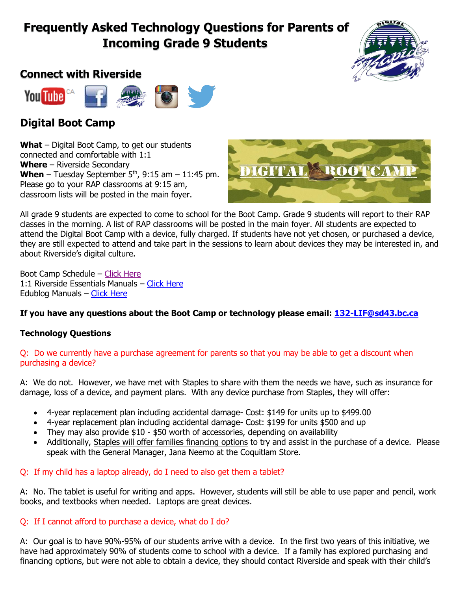# **Frequently Asked Technology Questions for Parents of Incoming Grade 9 Students**

# **Connect with Riverside**



# **Digital Boot Camp**

**What** – Digital Boot Camp, to get our students connected and comfortable with 1:1 **Where** – Riverside Secondary **When** – Tuesday September  $5<sup>th</sup>$ , 9:15 am – 11:45 pm. Please go to your RAP classrooms at 9:15 am, classroom lists will be posted in the main foyer.



All grade 9 students are expected to come to school for the Boot Camp. Grade 9 students will report to their RAP classes in the morning. A list of RAP classrooms will be posted in the main foyer. All students are expected to attend the Digital Boot Camp with a device, fully charged. If students have not yet chosen, or purchased a device, they are still expected to attend and take part in the sessions to learn about devices they may be interested in, and about Riverside's digital culture.

Boot Camp Schedule – [Click Here](http://www.sd43.bc.ca/school/riverside/ProgramsServices/Technology/Grade91to1/Pages/default.aspx) 1:1 Riverside Essentials Manuals – [Click Here](http://www.sd43.bc.ca/school/riverside/ProgramsServices/Technology/Grade91to1/Documents/Forms/AllItems.aspx?RootFolder=%2Fschool%2Friverside%2FProgramsServices%2FTechnology%2FGrade91to1%2FDocuments%2FRiverside%20Essentials&FolderCTID=0x012000305BC8E858D68E47822AA8ACE970BA4F&View=%7BA310F95C-702C-41C0-8882-C1E8C079C00C%7D) Edublog Manuals – [Click Here](http://www.sd43.bc.ca/school/riverside/ProgramsServices/Technology/Grade91to1/Documents/Forms/AllItems.aspx?RootFolder=%2Fschool%2Friverside%2FProgramsServices%2FTechnology%2FGrade91to1%2FDocuments%2FEdublogs%20Support&FolderCTID=0x012000305BC8E858D68E47822AA8ACE970BA4F&View=%7BA310F95C-702C-41C0-8882-C1E8C079C00C%7D)

# **If you have any questions about the Boot Camp or technology please email: [132-LIF@sd43.bc.ca](mailto:132-LIF@sd43.bc.ca)**

## **Technology Questions**

#### Q: Do we currently have a purchase agreement for parents so that you may be able to get a discount when purchasing a device?

A: We do not. However, we have met with Staples to share with them the needs we have, such as insurance for damage, loss of a device, and payment plans. With any device purchase from Staples, they will offer:

- 4-year replacement plan including accidental damage- Cost: \$149 for units up to \$499.00
- 4-year replacement plan including accidental damage- Cost: \$199 for units \$500 and up
- They may also provide \$10 \$50 worth of accessories, depending on availability
- Additionally, Staples will offer families financing options to try and assist in the purchase of a device. Please speak with the General Manager, Jana Neemo at the Coquitlam Store.

## Q: If my child has a laptop already, do I need to also get them a tablet?

A: No. The tablet is useful for writing and apps. However, students will still be able to use paper and pencil, work books, and textbooks when needed. Laptops are great devices.

## Q: If I cannot afford to purchase a device, what do I do?

A: Our goal is to have 90%-95% of our students arrive with a device. In the first two years of this initiative, we have had approximately 90% of students come to school with a device. If a family has explored purchasing and financing options, but were not able to obtain a device, they should contact Riverside and speak with their child's